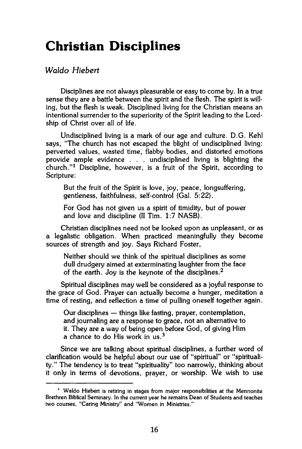# **Christian Disciplines**

## *Waldo Hiebert*

**Disciplines are not always pleasurable or easy to come by. In a true sense they are a battle between the spirit and the flesh. The spirit is willing, but the flesh is weak. Disciplined living for the Christian means an intentional surrender to the superiority of the Spirit leading to the Lordship of Christ over all of life.** 

**Undisciplined living is a mark of our age and culture. D.G. Kehl says, "The church has not escaped the blight of undisciplined living: perverted values, wasted time, flabby bodies, and distorted emotions provide ample evidence . . . undisciplined living is blighting the church."<sup>1</sup> Discipline, however, is a fruit of the Spirit, according to Scripture:** 

**But the fruit of the Spirit is love, joy, peace, longsuffering, gentleness, faithfulness, self-control (Gal. 5:22).** 

**For God has not given us a spirit of timidity, but of power and love and discipline (II Tim. 1:7 NASB).** 

**Christian disciplines need not be looked upon as unpleasant, or as a legalistic obligation. When practiced meaningfully they become sources of strength and joy. Says Richard Foster,** 

**Neither should we think of the spiritual disciplines as some dull drudgery aimed at exterminating laughter from the face of the earth. Joy is the keynote of the disciplines.<sup>2</sup>**

**Spiritual disciplines may well be considered as a joyful response to the grace of God. Prayer can actually become a hunger, meditation a time of resting, and reflection a time of pulling oneself together again.** 

**Our disciplines — things like fasting, prayer, contemplation, and journaling are a response to grace, not an alternative to it. They are a way of being open before God, of giving Him a chance to do His work in us.<sup>3</sup>**

**Since we are talking about spiritual disciplines, a further word of clarification would be helpful about our use of "spiritual" or "spirituality." The tendency is to treat "spirituality" too narrowly, thinking about it only in terms of devotions, prayer, or worship. We wish to use** 

**<sup>\*</sup> Waldo Hiebert is retiring in stages from major responsibilities at the Mennonite Brethren Biblical Seminary. In the current year he remains Dean of Students and teaches two courses, "Caring Ministry" and "Women in Ministries."**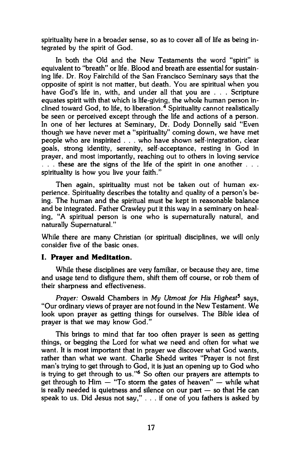spirituality here in a broader sense, so as to cover all of life as being integrated by the spirit of God.

In both the Old and the New Testaments the word "spirit" is equivalent to "breath" or life. Blood and breath are essential for sustaining life. Dr. Roy Fairchild of the San Francisco Seminary says that the opposite of spirit is not matter, but death. You are spiritual when you have God's life in, with, and under all that you are ... Scripture equates spirit with that which is life-giving, the whole human person inclined toward God, to life, to liberation. $\frac{4}{5}$  Spirituality cannot realistically be seen or perceived except through the life and actions of a person. In one of her lectures at Seminary, Dr. Dody Donnelly said "Even though we have never met a "spirituality" coming down, we have met people who are inspirited . . . who have shown self-integration, clear goals, strong identity, serenity, self-acceptance, resting in God in prayer, and most importantly, reaching out to others in loving service . . . these are the signs of the life of the spirit in one another . . . spirituality is how you live your faith."

Then again, spirituality must not be taken out of human experience. Spirituality describes the totality and quality of a person's being. The human and the spiritual must be kept in reasonable balance and be integrated. Father Crawley put it this way in a seminary on healing, "A spiritual person is one who is supernaturally natural, and naturally Supernatural."

While there are many Christian (or spiritual) disciplines, we will only consider five of the basic ones.

### **I. Prayer and Meditation.**

While these disciplines are very familiar, or because they are, time and usage tend to disfigure them, shift them off course, or rob them of their sharpness and effectiveness.

*Prayer:* Oswald Chambers in *My Utmost for His Highest<sup>5</sup>* says, "Our ordinary views of prayer are not found in the New Testament. We look upon prayer as getting things for ourselves. The Bible idea of prayer is that we may know God."

This brings to mind that far too often prayer is seen as getting things, or begging the Lord for what we need and often for what we want. It is most important that in prayer we discover what God wants, rather than what we want. Charlie Shedd writes "Prayer is not first man's trying to get through to God, it is just an opening up to God who is trying to get through to us."<sup>6</sup> So often our prayers are attempts to get through to Him — "To storm the gates of heaven" — while what is really needed is quietness and silence on our part — so that He can speak to us. Did Jesus not say," .. . if one of you fathers is asked by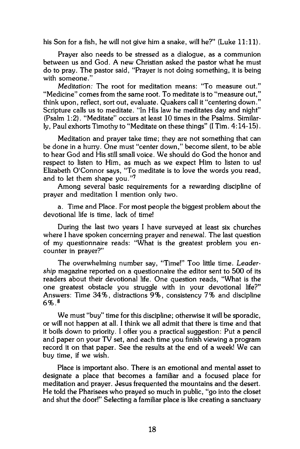his Son for a fish, he will not give him a snake, will he?" (Luke 11:11).

Prayer also needs to be stressed as a dialogue, as a communion between us and God. A new Christian asked the pastor what he must do to pray. The pastor said, "Prayer is not doing something, it is being with someone."

*Meditation:* The root for meditation means: "To measure out." "Medicine" comes from the same root. To meditate is to "measure out," think upon, reflect, sort out, evaluate. Quakers call it "centering down." Scripture calls us to meditate. "In His law he meditates day and night" (Psalm 1:2). "Meditate" occurs at least 10 times in the Psalms. Similarly, Paul exhorts Timothy to "Meditate on these things" (I Tim. 4:14-15).

Meditation and prayer take time; they are not something that can be done in a hurry. One must "center down," become silent, to be able to hear God and His still small voice. We should do God the honor and respect to listen to Him, as much as we expect Him to listen to us! Elizabeth O'Connor says, "To meditate is to love the words you read, and to let them shape you."<sup>7</sup>

Among several basic requirements for a rewarding discipline of prayer and meditation I mention only two.

a. Time and Place. For most people the biggest problem about the devotional life is time, lack of time!

During the last two years I have surveyed at least six churches where I have spoken concerning prayer and renewal. The last question of my questionnaire reads: "What is the greatest problem you encounter in prayer?"

The overwhelming number say, "Time!" Too little time. *Leadership* magazine reported on a questionnaire the editor sent to 500 of its readers about their devotional life. One question reads, "What is the one greatest obstacle you struggle with in your devotional life?" Answers: Time 34%, distractions 9%, consistency 7% and discipline 6%. <sup>8</sup>

We must "buy" time for this discipline; otherwise it will be sporadic, or will not happen at all. I think we all admit that there is time and that it boils down to priority. I offer you a practical suggestion: Put a pencil and paper on your TV set, and each time you finish viewing a program record it on that paper. See the results at the end of a week! We can buy time, if we wish.

Place is important also. There is an emotional and mental asset to designate a place that becomes a familiar and a focused place for meditation and prayer. Jesus frequented the mountains and the desert. He told the Pharisees who prayed so much in public, "go into the closet and shut the door!" Selecting a familiar place is like creating a sanctuary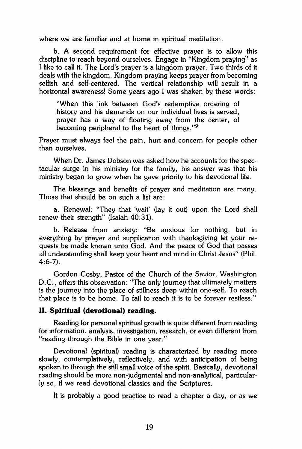where we are familiar and at home in spiritual meditation.

b. A second requirement for effective prayer is to allow this discipline to reach beyond ourselves. Engage in "Kingdom praying" as I like to call it. The Lord's prayer is a kingdom prayer. Two thirds of it deals with the kingdom. Kingdom praying keeps prayer from becoming selfish and self-centered. The vertical relationship will result in a horizontal awareness! Some years ago I was shaken by these words:

"When this link between God's redemptive ordering of history and his demands on our individual lives is served, prayer has a way of floating away from the center, of becoming peripheral to the heart of things."<sup>9</sup>

Prayer must always feel the pain, hurt and concern for people other than ourselves.

When Dr. James Dobson was asked how he accounts for the spectacular surge in his ministry for the family, his answer was that his ministry began to grow when he gave priority to his devotional life.

The blessings and benefits of prayer and meditation are many. Those that should be on such a list are:

a. Renewal: "They that 'wait' (lay it out) upon the Lord shall renew their strength" (Isaiah 40:31).

b. Release from anxiety: "Be anxious for nothing, but in everything by prayer and supplication with thanksgiving let your requests be made known unto God. And the peace of God that passes all understanding shall keep your heart and mind in Christ Jesus" (Phil. 4:6-7).

Gordon Cosby, Pastor of the Church of the Savior, Washington D.C., offers this observation: "The only journey that ultimately matters is the journey into the place of stillness deep within one-self. To reach that place is to be home. To fail to reach it is to be forever restless."

### **II. Spiritual (devotional) reading.**

Reading for personal spiritual growth is quite different from reading for information, analysis, investigation, research, or even different from "reading through the Bible in one year."

Devotional (spiritual) reading is characterized by reading more slowly, contemplatively, reflectively, and with anticipation of being spoken to through the still small voice of the spirit. Basically, devotional reading should be more non-judgmental and non-analytical, particularly so, if we read devotional classics and the Scriptures.

It is probably a good practice to read a chapter a day, or as we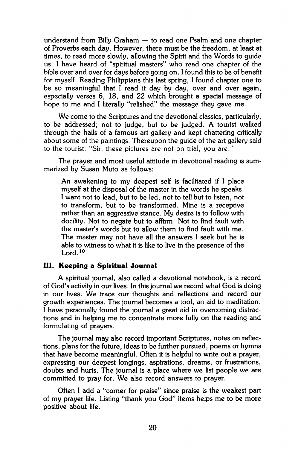understand from Billy Graham — to read one Psalm and one chapter of Proverbs each day. However, there must be the freedom, at least at times, to read more slowly, allowing the Spirit and the Words to guide us. I have heard of "spiritual masters" who read one chapter of the bible over and over for days before going on. I found this to be of benefit for myself. Reading Philippians this last spring, I found chapter one to be so meaningful that I read it day by day, over and over again, especially verses 6, 18, and 22 which brought a special message of hope to me and I literally "relished" the message they gave me.

We come to the Scriptures and the devotional classics, particularly, to be addressed; not to judge, but to be judged. A tourist walked through the halls of a famous art gallery and kept chattering critically about some of the paintings. Thereupon the guide of the art gallery said to the tourist: "Sir, these pictures are not on trial, you are."

The prayer and most useful attitude in devotional reading is summarized by Susan Muto as follows:

An awakening to my deepest self is facilitated if I place myself at the disposal of the master in the words he speaks. I want not to lead, but to be led, not to tell but to listen, not to transform, but to be transformed. Mine is a receptive rather than an aggressive stance. My desire is to follow with docility. Not to negate but to affirm. Not to find fault with the master's words but to allow them to find fault with me. The master may not have all the answers I seek but he is able to witness to what it is like to live in the presence of the Lord.<sup>10</sup>

### **III. Keeping a Spiritual Journal**

A spiritual journal, also called a devotional notebook, is a record of God's activity in our lives. In this journal we record what God is doing in our lives. We trace our thoughts and reflections and record our growth experiences. The journal becomes a tool, an aid to meditation. I have personally found the journal a great aid in overcoming distractions and in helping me to concentrate more fully on the reading and formulating of prayers.

The journal may also record important Scriptures, notes on reflections, plans for the future, ideas to be further pursued, poems or hymns that have become meaningful. Often it is helpful to write out a prayer, expressing our deepest longings, aspirations, dreams, or frustrations, doubts and hurts. The journal is a place where we list people we are committed to pray for. We also record answers to prayer.

Often I add a "corner for praise" since praise is the weakest part of my prayer life. Listing "thank you God" items helps me to be more positive about life.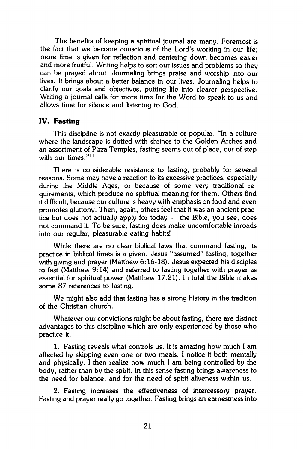The benefits of keeping a spiritual journal are many. Foremost is the fact that we become conscious of the Lord's working in our life; more time is given for reflection and centering down becomes easier and more fruitful. Writing helps to sort our issues and problems so they can be prayed about. Journaling brings praise and worship into our lives. It brings about a better balance in our lives. Journaling helps to clarify our goals and objectives, putting life into clearer perspective. Writing a journal calls for more time for the Word to speak to us and allows time for silence and listening to God.

#### **IV. Fasting**

This discipline is not exactly pleasurable or popular. "In a culture where the landscape is dotted with shrines to the Golden Arches and an assortment of Pizza Temples, fasting seems out of place, out of step with our times."<sup>11</sup>

There is considerable resistance to fasting, probably for several reasons. Some may have a reaction to its excessive practices, especially during the Middle Ages, or because of some very traditional requirements, which produce no spiritual meaning for them. Others find it difficult, because our culture is heavy with emphasis on food and even promotes gluttony. Then, again, others feel that it was an ancient practice but does not actually apply for today — the Bible, you see, does not command it. To be sure, fasting does make uncomfortable inroads into our regular, pleasurable eating habits!

While there are no clear biblical laws that command fasting, its practice in biblical times is a given. Jesus "assumed" fasting, together with giving and prayer (Matthew 6:16-18). Jesus expected his disciples to fast (Matthew 9:14) and referred to fasting together with prayer as essential for spiritual power (Matthew 17:21). In total the Bible makes some 87 references to fasting.

We might also add that fasting has a strong history in the tradition of the Christian church.

Whatever our convictions might be about fasting, there are distinct advantages to this discipline which are only experienced by those who practice it.

1. Fasting reveals what controls us. It is amazing how much I am affected by skipping even one or two meals. I notice it both mentally and physically. I then realize how much I am being controlled by the body, rather than by the spirit. In this sense fasting brings awareness to the need for balance, and for the need of spirit aliveness within us.

2. Fasting increases the effectiveness of intercessory prayer. Fasting and prayer really go together. Fasting brings an earnestness into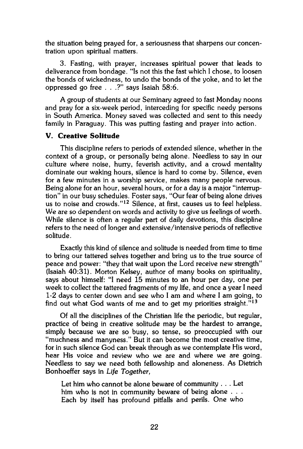the situation being prayed for, a seriousness that sharpens our concentration upon spiritual matters.

3. Fasting, with prayer, increases spiritual power that leads to deliverance from bondage. "Is not this the fast which I chose, to loosen the bonds of wickedness, to undo the bonds of the yoke, and to let the oppressed go free . . .?" says Isaiah 58:6.

A group of students at our Seminary agreed to fast Monday noons and pray for a six-week period, interceding for specific needy persons in South America. Money saved was collected and sent to this needy family in Paraguay. This was putting fasting and prayer into action.

### **V. Creative Solitude**

This discipline refers to periods of extended silence, whether in the context of a group, or personally being alone. Needless to say in our culture where noise, hurry, feverish activity, and a crowd mentality dominate our waking hours, silence is hard to come by. Silence, even for a few minutes in a worship service, makes many people nervous. Being alone for an hour, several hours, or for a day is a major "interruption" in our busy schedules. Foster says, "Our fear of being alone drives us to noise and crowds."<sup>12</sup> Silence, at first, causes us to feel helpless. We are so dependent on words and activity to give us feelings of worth. While silence is often a regular part of daily devotions, this discipline refers to the need of longer and extensive/intensive periods of reflective solitude.

Exactly this kind of silence and solitude is needed from time to time to bring our tattered selves together and bring us to the true source of peace and power: "they that wait upon the Lord receive new strength" (Isaiah 40:31). Morton Kelsey, author of many books on spirituality, says about himself: "I need 15 minutes to an hour per day, one per week to collect the tattered fragments of my life, and once a year I need 1-2 days to center down and see who I am and where I am going, to find out what God wants of me and to get my priorities straight."<sup>13</sup>

Of all the disciplines of the Christian life the periodic, but regular, practice of being in creative solitude may be the hardest to arrange, simply because we are so busy, so tense, so preoccupied with our "muchness and manyness." But it can become the most creative time, for in such silence God can break through as we contemplate His word, hear His voice and review who we are and where we are going. Needless to say we need both fellowship and aloneness. As Dietrich Bonhoeffer says in *Life Together,* 

Let him who cannot be alone beware of community . . . Let him who is not in community beware of being alone . . . Each by itself has profound pitfalls and perils. One who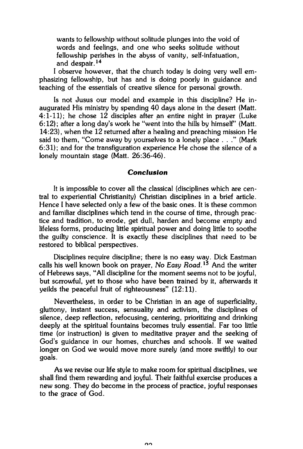wants to fellowship without solitude plunges into the void of words and feelings, and one who seeks solitude without fellowship perishes in the abyss of vanity, self-infatuation, and despair.<sup>14</sup>

I observe however, that the church today is doing very well emphasizing fellowship, but has and is doing poorly in guidance and teaching of the essentials of creative silence for personal growth.

Is not Jusus our model and example in this discipline? He inaugurated His ministry by spending 40 days alone in the desert (Matt. 4:1-11); he chose 12 disciples after an entire night in prayer (Luke 6:12); after a long day's work he "went into the hills by himself" (Matt. 14:23), when the 12 returned after a healing and preaching mission He said to them, "Come away by yourselves to a lonely place . . ." (Mark 6:31); and for the transfiguration experience He chose the silence of a lonely mountain stage (Matt. 26:36-46).

#### *Conclusion*

It is impossible to cover all the classical (disciplines which are central to experiential Christianity) Christian disciplines in a brief article. Hence I have selected only a few of the basic ones. It is these common and familiar disciplines which tend in the course of time, through practice and tradition, to erode, get dull, harden and become empty and lifeless forms, producing little spiritual power and doing little to soothe the guilty conscience. It is exactly these disciplines that need to be restored to biblical perspectives.

Disciplines require discipline; there is no easy way. Dick Eastman calls his well known book on prayer, *No Easy Road.<sup>15</sup>* And the writer of Hebrews says, "All discipline for the moment seems not to be joyful, but sorrowful, yet to those who have been trained by it, afterwards it yeilds the peaceful fruit of righteousness" (12:11).

Nevertheless, in order to be Christian in an age of superficiality, gluttony, instant success, sensuality and activism, the disciplines of silence, deep reflection, refocusing, centering, prioritizing and drinking deeply at the spiritual fountains becomes truly essential. Far too little time (or instruction) is given to meditative prayer and the seeking of God's guidance in our homes, churches and schools. If we waited longer on God we would move more surely (and more swiftly) to our goals.

As we revise our life style to make room for spiritual disciplines, we shall find them rewarding and joyful. Their faithful exercise produces a new song. They do become in the process of practice, joyful responses to the grace of God.